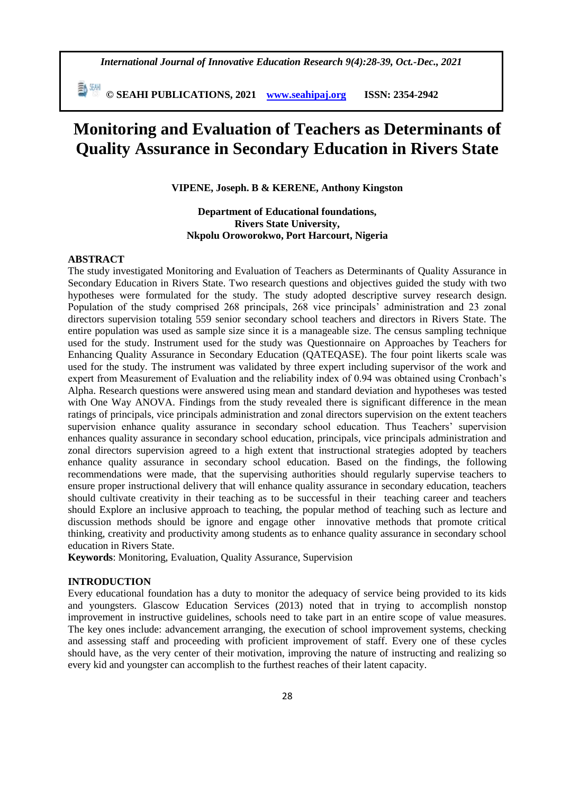*International Journal of Innovative Education Research 9(4):28-39, Oct.-Dec., 2021*

 **© SEAHI PUBLICATIONS, 2021 [www.seahipaj.org](http://www.seahipaj.org/) ISSN: 2354-2942**

# **Monitoring and Evaluation of Teachers as Determinants of Quality Assurance in Secondary Education in Rivers State**

**VIPENE, Joseph. B & KERENE, Anthony Kingston**

# **Department of Educational foundations, Rivers State University, Nkpolu Oroworokwo, Port Harcourt, Nigeria**

#### **ABSTRACT**

The study investigated Monitoring and Evaluation of Teachers as Determinants of Quality Assurance in Secondary Education in Rivers State. Two research questions and objectives guided the study with two hypotheses were formulated for the study. The study adopted descriptive survey research design. Population of the study comprised 268 principals, 268 vice principals' administration and 23 zonal directors supervision totaling 559 senior secondary school teachers and directors in Rivers State. The entire population was used as sample size since it is a manageable size. The census sampling technique used for the study. Instrument used for the study was Questionnaire on Approaches by Teachers for Enhancing Quality Assurance in Secondary Education (QATEQASE). The four point likerts scale was used for the study. The instrument was validated by three expert including supervisor of the work and expert from Measurement of Evaluation and the reliability index of 0.94 was obtained using Cronbach's Alpha. Research questions were answered using mean and standard deviation and hypotheses was tested with One Way ANOVA. Findings from the study revealed there is significant difference in the mean ratings of principals, vice principals administration and zonal directors supervision on the extent teachers supervision enhance quality assurance in secondary school education. Thus Teachers' supervision enhances quality assurance in secondary school education, principals, vice principals administration and zonal directors supervision agreed to a high extent that instructional strategies adopted by teachers enhance quality assurance in secondary school education. Based on the findings, the following recommendations were made, that the supervising authorities should regularly supervise teachers to ensure proper instructional delivery that will enhance quality assurance in secondary education, teachers should cultivate creativity in their teaching as to be successful in their teaching career and teachers should Explore an inclusive approach to teaching, the popular method of teaching such as lecture and discussion methods should be ignore and engage other innovative methods that promote critical thinking, creativity and productivity among students as to enhance quality assurance in secondary school education in Rivers State.

**Keywords**: Monitoring, Evaluation, Quality Assurance, Supervision

#### **INTRODUCTION**

Every educational foundation has a duty to monitor the adequacy of service being provided to its kids and youngsters. Glascow Education Services (2013) noted that in trying to accomplish nonstop improvement in instructive guidelines, schools need to take part in an entire scope of value measures. The key ones include: advancement arranging, the execution of school improvement systems, checking and assessing staff and proceeding with proficient improvement of staff. Every one of these cycles should have, as the very center of their motivation, improving the nature of instructing and realizing so every kid and youngster can accomplish to the furthest reaches of their latent capacity.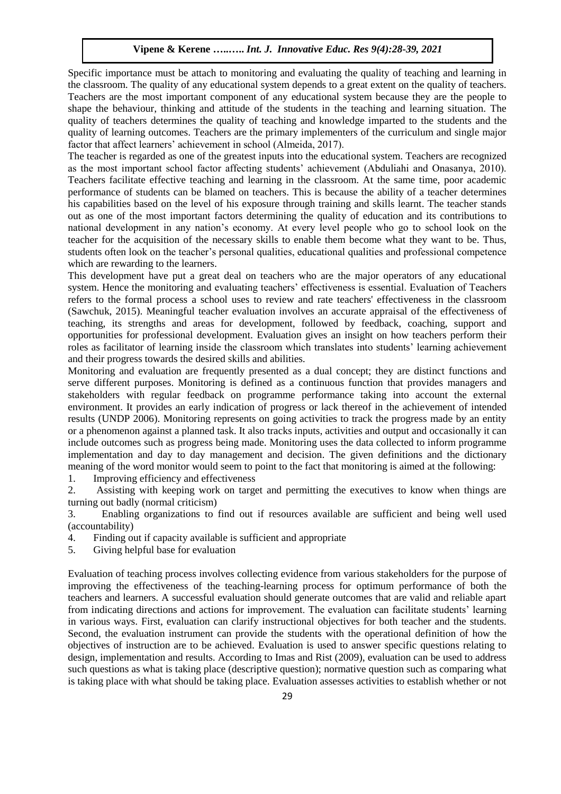Specific importance must be attach to monitoring and evaluating the quality of teaching and learning in the classroom. The quality of any educational system depends to a great extent on the quality of teachers. Teachers are the most important component of any educational system because they are the people to shape the behaviour, thinking and attitude of the students in the teaching and learning situation. The quality of teachers determines the quality of teaching and knowledge imparted to the students and the quality of learning outcomes. Teachers are the primary implementers of the curriculum and single major factor that affect learners' achievement in school (Almeida, 2017).

The teacher is regarded as one of the greatest inputs into the educational system. Teachers are recognized as the most important school factor affecting students' achievement (Abduliahi and Onasanya, 2010). Teachers facilitate effective teaching and learning in the classroom. At the same time, poor academic performance of students can be blamed on teachers. This is because the ability of a teacher determines his capabilities based on the level of his exposure through training and skills learnt. The teacher stands out as one of the most important factors determining the quality of education and its contributions to national development in any nation's economy. At every level people who go to school look on the teacher for the acquisition of the necessary skills to enable them become what they want to be. Thus, students often look on the teacher's personal qualities, educational qualities and professional competence which are rewarding to the learners.

This development have put a great deal on teachers who are the major operators of any educational system. Hence the monitoring and evaluating teachers' effectiveness is essential. Evaluation of Teachers refers to the formal process a school uses to review and rate teachers' effectiveness in the classroom (Sawchuk, 2015). Meaningful teacher evaluation involves an accurate appraisal of the effectiveness of teaching, its strengths and areas for development, followed by feedback, coaching, support and opportunities for professional development. Evaluation gives an insight on how teachers perform their roles as facilitator of learning inside the classroom which translates into students' learning achievement and their progress towards the desired skills and abilities.

Monitoring and evaluation are frequently presented as a dual concept; they are distinct functions and serve different purposes. Monitoring is defined as a continuous function that provides managers and stakeholders with regular feedback on programme performance taking into account the external environment. It provides an early indication of progress or lack thereof in the achievement of intended results (UNDP 2006). Monitoring represents on going activities to track the progress made by an entity or a phenomenon against a planned task. It also tracks inputs, activities and output and occasionally it can include outcomes such as progress being made. Monitoring uses the data collected to inform programme implementation and day to day management and decision. The given definitions and the dictionary meaning of the word monitor would seem to point to the fact that monitoring is aimed at the following:

1. Improving efficiency and effectiveness

2. Assisting with keeping work on target and permitting the executives to know when things are turning out badly (normal criticism)

3. Enabling organizations to find out if resources available are sufficient and being well used (accountability)

- 4. Finding out if capacity available is sufficient and appropriate
- 5. Giving helpful base for evaluation

Evaluation of teaching process involves collecting evidence from various stakeholders for the purpose of improving the effectiveness of the teaching-learning process for optimum performance of both the teachers and learners. A successful evaluation should generate outcomes that are valid and reliable apart from indicating directions and actions for improvement. The evaluation can facilitate students' learning in various ways. First, evaluation can clarify instructional objectives for both teacher and the students. Second, the evaluation instrument can provide the students with the operational definition of how the objectives of instruction are to be achieved. Evaluation is used to answer specific questions relating to design, implementation and results. According to Imas and Rist (2009), evaluation can be used to address such questions as what is taking place (descriptive question); normative question such as comparing what is taking place with what should be taking place. Evaluation assesses activities to establish whether or not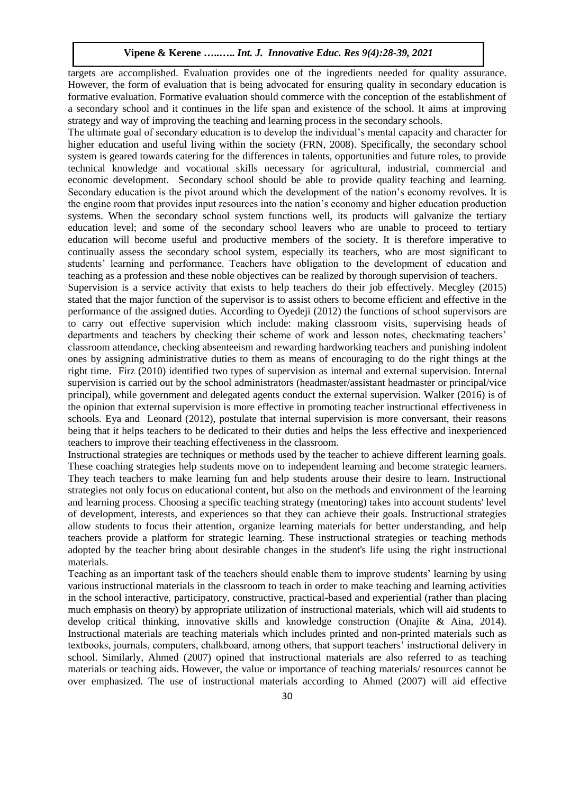targets are accomplished. Evaluation provides one of the ingredients needed for quality assurance. However, the form of evaluation that is being advocated for ensuring quality in secondary education is formative evaluation. Formative evaluation should commerce with the conception of the establishment of a secondary school and it continues in the life span and existence of the school. It aims at improving strategy and way of improving the teaching and learning process in the secondary schools.

The ultimate goal of secondary education is to develop the individual's mental capacity and character for higher education and useful living within the society (FRN, 2008). Specifically, the secondary school system is geared towards catering for the differences in talents, opportunities and future roles, to provide technical knowledge and vocational skills necessary for agricultural, industrial, commercial and economic development. Secondary school should be able to provide quality teaching and learning. Secondary education is the pivot around which the development of the nation's economy revolves. It is the engine room that provides input resources into the nation's economy and higher education production systems. When the secondary school system functions well, its products will galvanize the tertiary education level; and some of the secondary school leavers who are unable to proceed to tertiary education will become useful and productive members of the society. It is therefore imperative to continually assess the secondary school system, especially its teachers, who are most significant to students' learning and performance. Teachers have obligation to the development of education and teaching as a profession and these noble objectives can be realized by thorough supervision of teachers.

Supervision is a service activity that exists to help teachers do their job effectively. Mecgley (2015) stated that the major function of the supervisor is to assist others to become efficient and effective in the performance of the assigned duties. According to Oyedeji (2012) the functions of school supervisors are to carry out effective supervision which include: making classroom visits, supervising heads of departments and teachers by checking their scheme of work and lesson notes, checkmating teachers' classroom attendance, checking absenteeism and rewarding hardworking teachers and punishing indolent ones by assigning administrative duties to them as means of encouraging to do the right things at the right time. Firz (2010) identified two types of supervision as internal and external supervision. Internal supervision is carried out by the school administrators (headmaster/assistant headmaster or principal/vice principal), while government and delegated agents conduct the external supervision. Walker (2016) is of the opinion that external supervision is more effective in promoting teacher instructional effectiveness in schools. Eya and Leonard (2012), postulate that internal supervision is more conversant, their reasons being that it helps teachers to be dedicated to their duties and helps the less effective and inexperienced teachers to improve their teaching effectiveness in the classroom.

Instructional strategies are techniques or methods used by the teacher to achieve different learning goals. These coaching strategies help students move on to independent learning and become strategic learners. They teach teachers to make learning fun and help students arouse their desire to learn. Instructional strategies not only focus on educational content, but also on the methods and environment of the learning and learning process. Choosing a specific teaching strategy (mentoring) takes into account students' level of development, interests, and experiences so that they can achieve their goals. Instructional strategies allow students to focus their attention, organize learning materials for better understanding, and help teachers provide a platform for strategic learning. These instructional strategies or teaching methods adopted by the teacher bring about desirable changes in the student's life using the right instructional materials.

Teaching as an important task of the teachers should enable them to improve students' learning by using various instructional materials in the classroom to teach in order to make teaching and learning activities in the school interactive, participatory, constructive, practical-based and experiential (rather than placing much emphasis on theory) by appropriate utilization of instructional materials, which will aid students to develop critical thinking, innovative skills and knowledge construction (Onajite & Aina, 2014). Instructional materials are teaching materials which includes printed and non-printed materials such as textbooks, journals, computers, chalkboard, among others, that support teachers' instructional delivery in school. Similarly, Ahmed (2007) opined that instructional materials are also referred to as teaching materials or teaching aids. However, the value or importance of teaching materials/ resources cannot be over emphasized. The use of instructional materials according to Ahmed (2007) will aid effective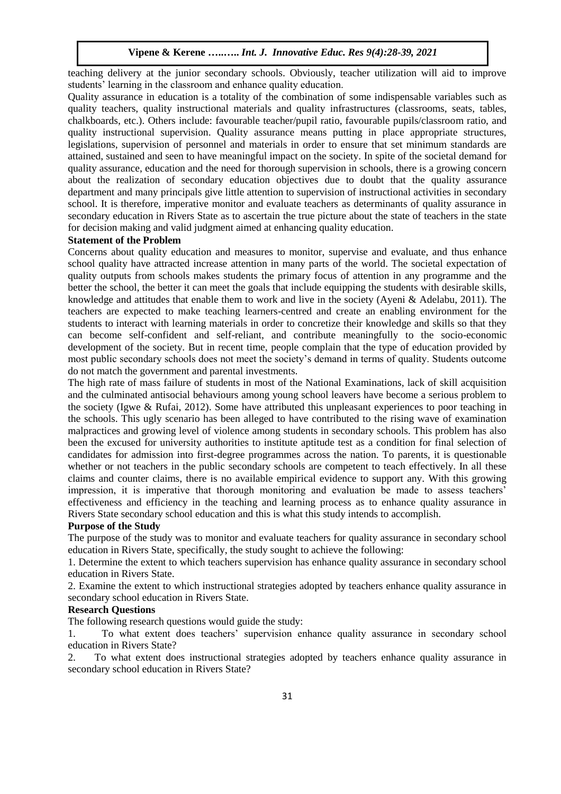teaching delivery at the junior secondary schools. Obviously, teacher utilization will aid to improve students' learning in the classroom and enhance quality education.

Quality assurance in education is a totality of the combination of some indispensable variables such as quality teachers, quality instructional materials and quality infrastructures (classrooms, seats, tables, chalkboards, etc.). Others include: favourable teacher/pupil ratio, favourable pupils/classroom ratio, and quality instructional supervision. Quality assurance means putting in place appropriate structures, legislations, supervision of personnel and materials in order to ensure that set minimum standards are attained, sustained and seen to have meaningful impact on the society. In spite of the societal demand for quality assurance, education and the need for thorough supervision in schools, there is a growing concern about the realization of secondary education objectives due to doubt that the quality assurance department and many principals give little attention to supervision of instructional activities in secondary school. It is therefore, imperative monitor and evaluate teachers as determinants of quality assurance in secondary education in Rivers State as to ascertain the true picture about the state of teachers in the state for decision making and valid judgment aimed at enhancing quality education.

#### **Statement of the Problem**

Concerns about quality education and measures to monitor, supervise and evaluate, and thus enhance school quality have attracted increase attention in many parts of the world. The societal expectation of quality outputs from schools makes students the primary focus of attention in any programme and the better the school, the better it can meet the goals that include equipping the students with desirable skills, knowledge and attitudes that enable them to work and live in the society (Ayeni & Adelabu, 2011). The teachers are expected to make teaching learners-centred and create an enabling environment for the students to interact with learning materials in order to concretize their knowledge and skills so that they can become self-confident and self-reliant, and contribute meaningfully to the socio-economic development of the society. But in recent time, people complain that the type of education provided by most public secondary schools does not meet the society's demand in terms of quality. Students outcome do not match the government and parental investments.

The high rate of mass failure of students in most of the National Examinations, lack of skill acquisition and the culminated antisocial behaviours among young school leavers have become a serious problem to the society (Igwe & Rufai, 2012). Some have attributed this unpleasant experiences to poor teaching in the schools. This ugly scenario has been alleged to have contributed to the rising wave of examination malpractices and growing level of violence among students in secondary schools. This problem has also been the excused for university authorities to institute aptitude test as a condition for final selection of candidates for admission into first-degree programmes across the nation. To parents, it is questionable whether or not teachers in the public secondary schools are competent to teach effectively. In all these claims and counter claims, there is no available empirical evidence to support any. With this growing impression, it is imperative that thorough monitoring and evaluation be made to assess teachers' effectiveness and efficiency in the teaching and learning process as to enhance quality assurance in Rivers State secondary school education and this is what this study intends to accomplish.

#### **Purpose of the Study**

The purpose of the study was to monitor and evaluate teachers for quality assurance in secondary school education in Rivers State, specifically, the study sought to achieve the following:

1. Determine the extent to which teachers supervision has enhance quality assurance in secondary school education in Rivers State.

2. Examine the extent to which instructional strategies adopted by teachers enhance quality assurance in secondary school education in Rivers State.

#### **Research Questions**

The following research questions would guide the study:

1. To what extent does teachers' supervision enhance quality assurance in secondary school education in Rivers State?

2. To what extent does instructional strategies adopted by teachers enhance quality assurance in secondary school education in Rivers State?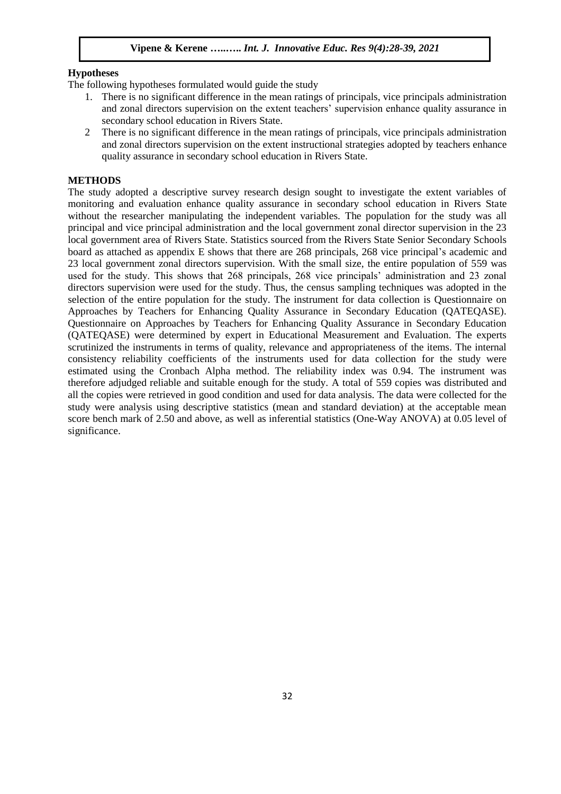# **Hypotheses**

The following hypotheses formulated would guide the study

- 1. There is no significant difference in the mean ratings of principals, vice principals administration and zonal directors supervision on the extent teachers' supervision enhance quality assurance in secondary school education in Rivers State.
- 2 There is no significant difference in the mean ratings of principals, vice principals administration and zonal directors supervision on the extent instructional strategies adopted by teachers enhance quality assurance in secondary school education in Rivers State.

## **METHODS**

The study adopted a descriptive survey research design sought to investigate the extent variables of monitoring and evaluation enhance quality assurance in secondary school education in Rivers State without the researcher manipulating the independent variables. The population for the study was all principal and vice principal administration and the local government zonal director supervision in the 23 local government area of Rivers State. Statistics sourced from the Rivers State Senior Secondary Schools board as attached as appendix E shows that there are 268 principals, 268 vice principal's academic and 23 local government zonal directors supervision. With the small size, the entire population of 559 was used for the study. This shows that 268 principals, 268 vice principals' administration and 23 zonal directors supervision were used for the study. Thus, the census sampling techniques was adopted in the selection of the entire population for the study. The instrument for data collection is Questionnaire on Approaches by Teachers for Enhancing Quality Assurance in Secondary Education (QATEQASE). Questionnaire on Approaches by Teachers for Enhancing Quality Assurance in Secondary Education (QATEQASE) were determined by expert in Educational Measurement and Evaluation. The experts scrutinized the instruments in terms of quality, relevance and appropriateness of the items. The internal consistency reliability coefficients of the instruments used for data collection for the study were estimated using the Cronbach Alpha method. The reliability index was 0.94. The instrument was therefore adjudged reliable and suitable enough for the study. A total of 559 copies was distributed and all the copies were retrieved in good condition and used for data analysis. The data were collected for the study were analysis using descriptive statistics (mean and standard deviation) at the acceptable mean score bench mark of 2.50 and above, as well as inferential statistics (One-Way ANOVA) at 0.05 level of significance.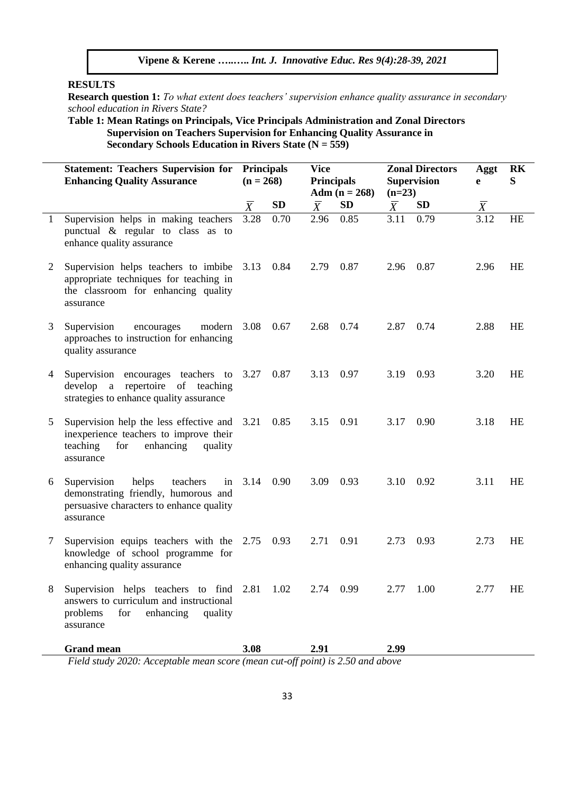# **RESULTS**

**Research question 1:** *To what extent does teachers' supervision enhance quality assurance in secondary school education in Rivers State?*

**Table 1: Mean Ratings on Principals, Vice Principals Administration and Zonal Directors Supervision on Teachers Supervision for Enhancing Quality Assurance in Secondary Schools Education in Rivers State (N = 559)**

|   | <b>Statement: Teachers Supervision for Principals</b><br><b>Enhancing Quality Assurance</b>                                                     | $(n = 268)$    |           | <b>Vice</b><br><b>Principals</b> | Adm $(n = 268)$ | $(n=23)$       | <b>Zonal Directors</b><br><b>Supervision</b> | Aggt<br>e      | <b>RK</b><br>S |
|---|-------------------------------------------------------------------------------------------------------------------------------------------------|----------------|-----------|----------------------------------|-----------------|----------------|----------------------------------------------|----------------|----------------|
|   |                                                                                                                                                 | $\overline{X}$ | <b>SD</b> | $\overline{X}$                   | <b>SD</b>       | $\overline{X}$ | <b>SD</b>                                    | $\overline{X}$ |                |
| 1 | Supervision helps in making teachers<br>punctual & regular to class as to<br>enhance quality assurance                                          | 3.28           | 0.70      | 2.96                             | 0.85            | 3.11           | 0.79                                         | 3.12           | HE             |
| 2 | Supervision helps teachers to imbibe<br>appropriate techniques for teaching in<br>the classroom for enhancing quality<br>assurance              | 3.13           | 0.84      | 2.79                             | 0.87            | 2.96           | 0.87                                         | 2.96           | HE             |
| 3 | Supervision<br>modern<br>encourages<br>approaches to instruction for enhancing<br>quality assurance                                             | 3.08           | 0.67      | 2.68                             | 0.74            | 2.87           | 0.74                                         | 2.88           | HE             |
| 4 | Supervision encourages teachers to<br>develop a repertoire of teaching<br>strategies to enhance quality assurance                               | 3.27           | 0.87      | 3.13                             | 0.97            | 3.19           | 0.93                                         | 3.20           | HE             |
| 5 | Supervision help the less effective and<br>inexperience teachers to improve their<br>for<br>enhancing<br>teaching<br>quality<br>assurance       | 3.21           | 0.85      | 3.15                             | 0.91            | 3.17           | 0.90                                         | 3.18           | HE             |
| 6 | Supervision<br>helps<br>teachers<br>in<br>demonstrating friendly, humorous and<br>persuasive characters to enhance quality<br>assurance         | 3.14           | 0.90      | 3.09                             | 0.93            | 3.10           | 0.92                                         | 3.11           | HE             |
| 7 | Supervision equips teachers with the 2.75 0.93<br>knowledge of school programme for<br>enhancing quality assurance                              |                |           | 2.71                             | 0.91            | 2.73           | 0.93                                         | 2.73           | HE             |
| 8 | Supervision helps teachers to find 2.81 1.02<br>answers to curriculum and instructional<br>problems<br>enhancing<br>for<br>quality<br>assurance |                |           |                                  | 2.74 0.99       |                | $2.77$ 1.00                                  | 2.77           | HE             |
|   | <b>Grand mean</b><br>Field study 2020: Acceptable mean score (mean cut-off point) is 2.50 and above                                             | 3.08           |           | 2.91                             |                 | 2.99           |                                              |                |                |

*Field study 2020: Acceptable mean score (mean cut-off point) is 2.50 and above*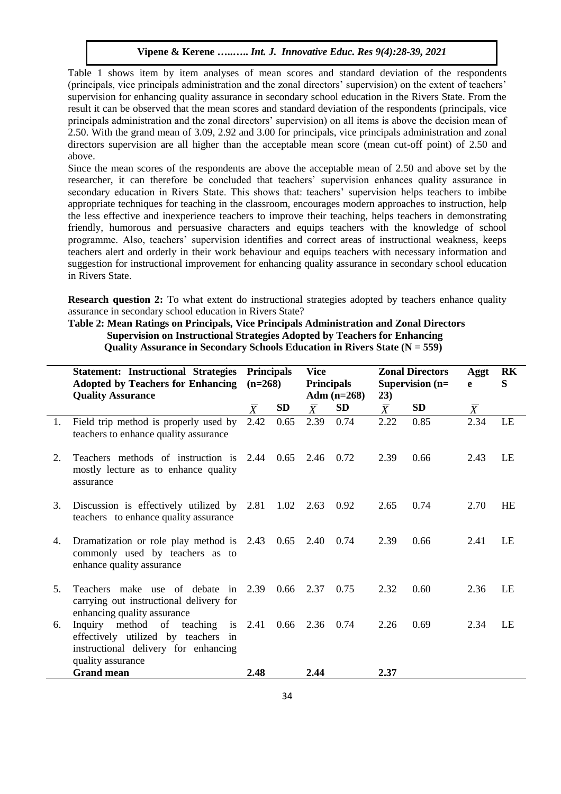Table 1 shows item by item analyses of mean scores and standard deviation of the respondents (principals, vice principals administration and the zonal directors' supervision) on the extent of teachers' supervision for enhancing quality assurance in secondary school education in the Rivers State. From the result it can be observed that the mean scores and standard deviation of the respondents (principals, vice principals administration and the zonal directors' supervision) on all items is above the decision mean of 2.50. With the grand mean of 3.09, 2.92 and 3.00 for principals, vice principals administration and zonal directors supervision are all higher than the acceptable mean score (mean cut-off point) of 2.50 and above.

Since the mean scores of the respondents are above the acceptable mean of 2.50 and above set by the researcher, it can therefore be concluded that teachers' supervision enhances quality assurance in secondary education in Rivers State. This shows that: teachers' supervision helps teachers to imbibe appropriate techniques for teaching in the classroom, encourages modern approaches to instruction, help the less effective and inexperience teachers to improve their teaching, helps teachers in demonstrating friendly, humorous and persuasive characters and equips teachers with the knowledge of school programme. Also, teachers' supervision identifies and correct areas of instructional weakness, keeps teachers alert and orderly in their work behaviour and equips teachers with necessary information and suggestion for instructional improvement for enhancing quality assurance in secondary school education in Rivers State.

**Research question 2:** To what extent do instructional strategies adopted by teachers enhance quality assurance in secondary school education in Rivers State?

# **Table 2: Mean Ratings on Principals, Vice Principals Administration and Zonal Directors Supervision on Instructional Strategies Adopted by Teachers for Enhancing Quality Assurance in Secondary Schools Education in Rivers State (N = 559)**

|    | <b>Statement: Instructional Strategies</b><br><b>Adopted by Teachers for Enhancing</b><br><b>Quality Assurance</b>             | <b>Principals</b><br>$(n=268)$ |      | Vice<br><b>Principals</b><br>Adm $(n=268)$ |      | <b>Zonal Directors</b><br>Supervision (n=<br>23) |           | Aggt<br>e      | RK<br>S |
|----|--------------------------------------------------------------------------------------------------------------------------------|--------------------------------|------|--------------------------------------------|------|--------------------------------------------------|-----------|----------------|---------|
|    |                                                                                                                                | $\overline{X}$                 | SD   | $\overline{X}$                             | SD   | $\overline{X}$                                   | <b>SD</b> | $\overline{X}$ |         |
| 1. | Field trip method is properly used by<br>teachers to enhance quality assurance                                                 | 2.42                           | 0.65 | 2.39                                       | 0.74 | 2.22                                             | 0.85      | 2.34           | LE      |
| 2. | Teachers methods of instruction is 2.44 0.65<br>mostly lecture as to enhance quality<br>assurance                              |                                |      | 2.46 0.72                                  |      | 2.39                                             | 0.66      | 2.43           | LE      |
| 3. | Discussion is effectively utilized by 2.81 1.02<br>teachers to enhance quality assurance                                       |                                |      | 2.63 0.92                                  |      | 2.65                                             | 0.74      | 2.70           | HE      |
| 4. | Dramatization or role play method is 2.43 0.65<br>commonly used by teachers as to<br>enhance quality assurance                 |                                |      | $2.40\quad 0.74$                           |      | 2.39                                             | 0.66      | 2.41           | LE      |
| 5. | Teachers make use of debate in 2.39<br>carrying out instructional delivery for<br>enhancing quality assurance                  |                                | 0.66 | 2.37                                       | 0.75 | 2.32                                             | 0.60      | 2.36           | LE      |
| 6. | Inquiry method of teaching<br>effectively utilized by teachers in<br>instructional delivery for enhancing<br>quality assurance | is $2.41$                      |      | $0.66$ 2.36 0.74                           |      | 2.26                                             | 0.69      | 2.34           | LE      |
|    | <b>Grand mean</b>                                                                                                              | 2.48                           |      | 2.44                                       |      | 2.37                                             |           |                |         |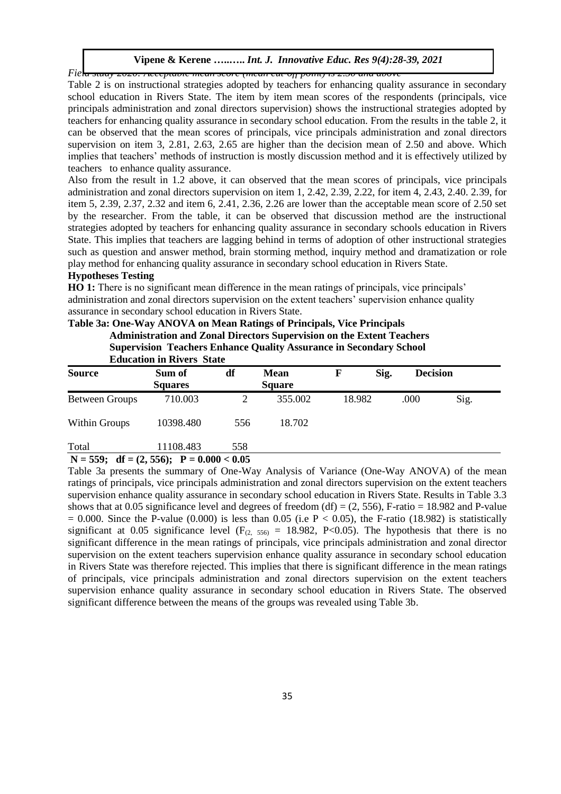*Field study 2020: Acceptable mean score (mean cut-off point) is 2.50 and above*

Table 2 is on instructional strategies adopted by teachers for enhancing quality assurance in secondary school education in Rivers State. The item by item mean scores of the respondents (principals, vice principals administration and zonal directors supervision) shows the instructional strategies adopted by teachers for enhancing quality assurance in secondary school education. From the results in the table 2, it can be observed that the mean scores of principals, vice principals administration and zonal directors supervision on item 3, 2.81, 2.63, 2.65 are higher than the decision mean of 2.50 and above. Which implies that teachers' methods of instruction is mostly discussion method and it is effectively utilized by teachers to enhance quality assurance.

Also from the result in 1.2 above, it can observed that the mean scores of principals, vice principals administration and zonal directors supervision on item 1, 2.42, 2.39, 2.22, for item 4, 2.43, 2.40. 2.39, for item 5, 2.39, 2.37, 2.32 and item 6, 2.41, 2.36, 2.26 are lower than the acceptable mean score of 2.50 set by the researcher. From the table, it can be observed that discussion method are the instructional strategies adopted by teachers for enhancing quality assurance in secondary schools education in Rivers State. This implies that teachers are lagging behind in terms of adoption of other instructional strategies such as question and answer method, brain storming method, inquiry method and dramatization or role play method for enhancing quality assurance in secondary school education in Rivers State.

#### **Hypotheses Testing**

**HO 1:** There is no significant mean difference in the mean ratings of principals, vice principals' administration and zonal directors supervision on the extent teachers' supervision enhance quality assurance in secondary school education in Rivers State.

| <b>Source</b>         | Sum of<br><b>Squares</b> | df  | <b>Mean</b><br><b>Square</b> | F      | Sig. | <b>Decision</b> |      |
|-----------------------|--------------------------|-----|------------------------------|--------|------|-----------------|------|
| <b>Between Groups</b> | 710.003                  | 2   | 355.002                      | 18.982 |      | .000            | Sig. |
| <b>Within Groups</b>  | 10398.480                | 556 | 18.702                       |        |      |                 |      |
| Total                 | 11108.483                | 558 |                              |        |      |                 |      |

# **Table 3a: One-Way ANOVA on Mean Ratings of Principals, Vice Principals Administration and Zonal Directors Supervision on the Extent Teachers Supervision Teachers Enhance Quality Assurance in Secondary School**

Table 3a presents the summary of One-Way Analysis of Variance (One-Way ANOVA) of the mean ratings of principals, vice principals administration and zonal directors supervision on the extent teachers supervision enhance quality assurance in secondary school education in Rivers State. Results in Table 3.3 shows that at 0.05 significance level and degrees of freedom (df) =  $(2, 556)$ , F-ratio = 18.982 and P-value  $= 0.000$ . Since the P-value (0.000) is less than 0.05 (i.e P < 0.05), the F-ratio (18.982) is statistically significant at 0.05 significance level ( $F_{(2, 556)} = 18.982$ , P<0.05). The hypothesis that there is no significant difference in the mean ratings of principals, vice principals administration and zonal director supervision on the extent teachers supervision enhance quality assurance in secondary school education in Rivers State was therefore rejected. This implies that there is significant difference in the mean ratings of principals, vice principals administration and zonal directors supervision on the extent teachers supervision enhance quality assurance in secondary school education in Rivers State. The observed significant difference between the means of the groups was revealed using Table 3b.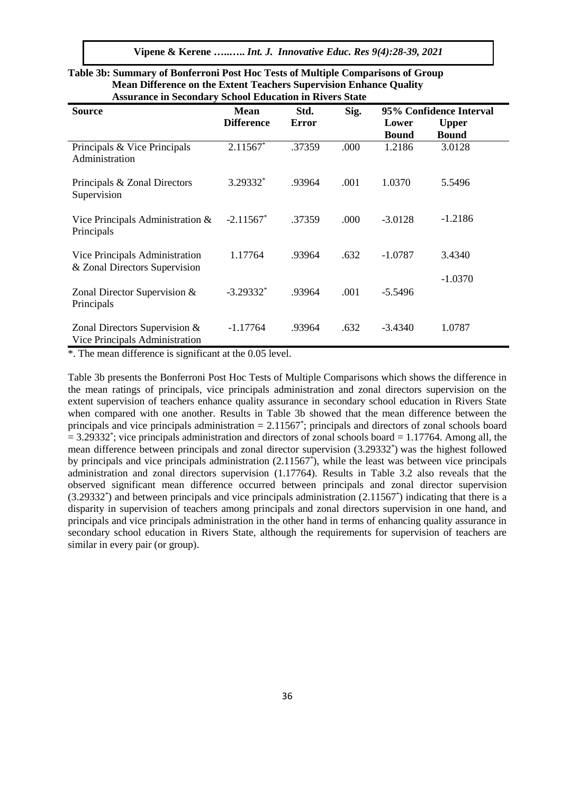| <b>Source</b>                                                   | <b>Mean</b>             | Std.         | Sig. | 95% Confidence Interval |              |  |
|-----------------------------------------------------------------|-------------------------|--------------|------|-------------------------|--------------|--|
|                                                                 | <b>Difference</b>       | <b>Error</b> |      | Lower                   | <b>Upper</b> |  |
|                                                                 |                         |              |      | <b>Bound</b>            | <b>Bound</b> |  |
| Principals & Vice Principals<br>Administration                  | $2.11567*$              | .37359       | .000 | 1.2186                  | 3.0128       |  |
| Principals & Zonal Directors<br>Supervision                     | 3.29332*                | .93964       | .001 | 1.0370                  | 5.5496       |  |
| Vice Principals Administration $\&$<br>Principals               | $-2.11567$ <sup>*</sup> | .37359       | .000 | $-3.0128$               | $-1.2186$    |  |
| Vice Principals Administration<br>& Zonal Directors Supervision | 1.17764                 | .93964       | .632 | $-1.0787$               | 3.4340       |  |
| Zonal Director Supervision &<br>Principals                      | $-3.29332$ <sup>*</sup> | .93964       | .001 | $-5.5496$               | $-1.0370$    |  |
| Zonal Directors Supervision &<br>Vice Principals Administration | $-1.17764$              | .93964       | .632 | $-3.4340$               | 1.0787       |  |

#### **Table 3b: Summary of Bonferroni Post Hoc Tests of Multiple Comparisons of Group Mean Difference on the Extent Teachers Supervision Enhance Quality Assurance in Secondary School Education in Rivers State**

\*. The mean difference is significant at the 0.05 level.

Table 3b presents the Bonferroni Post Hoc Tests of Multiple Comparisons which shows the difference in the mean ratings of principals, vice principals administration and zonal directors supervision on the extent supervision of teachers enhance quality assurance in secondary school education in Rivers State when compared with one another. Results in Table 3b showed that the mean difference between the principals and vice principals administration = 2.11567<sup>\*</sup>; principals and directors of zonal schools board  $= 3.29332^*$ ; vice principals administration and directors of zonal schools board  $= 1.17764$ . Among all, the mean difference between principals and zonal director supervision (3.29332\* ) was the highest followed by principals and vice principals administration (2.11567\* ), while the least was between vice principals administration and zonal directors supervision (1.17764). Results in Table 3.2 also reveals that the observed significant mean difference occurred between principals and zonal director supervision (3.29332\* ) and between principals and vice principals administration (2.11567\* ) indicating that there is a disparity in supervision of teachers among principals and zonal directors supervision in one hand, and principals and vice principals administration in the other hand in terms of enhancing quality assurance in secondary school education in Rivers State, although the requirements for supervision of teachers are similar in every pair (or group).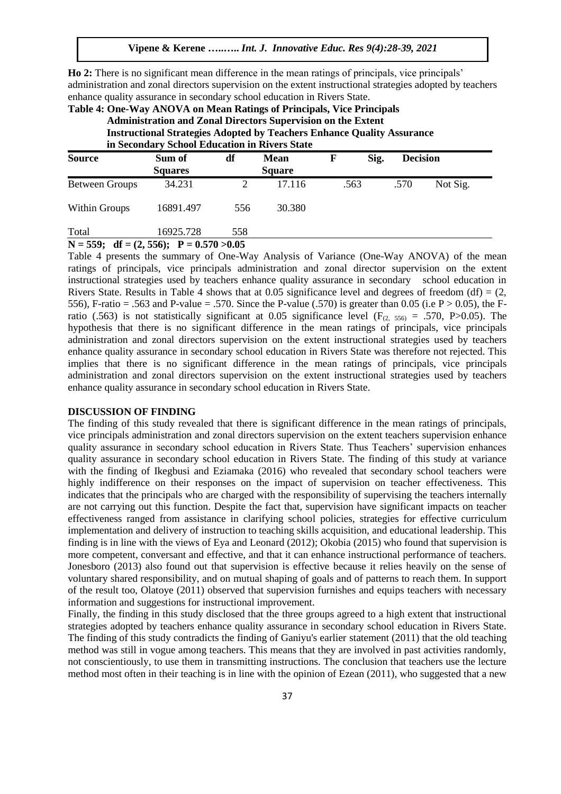**Ho 2:** There is no significant mean difference in the mean ratings of principals, vice principals' administration and zonal directors supervision on the extent instructional strategies adopted by teachers enhance quality assurance in secondary school education in Rivers State.

| Table 4: One-Way ANOVA on Mean Ratings of Principals, Vice Principals<br><b>Administration and Zonal Directors Supervision on the Extent</b><br><b>Instructional Strategies Adopted by Teachers Enhance Quality Assurance</b><br>in Secondary School Education in Rivers State |                          |                             |        |      |      |                 |          |  |  |  |  |
|--------------------------------------------------------------------------------------------------------------------------------------------------------------------------------------------------------------------------------------------------------------------------------|--------------------------|-----------------------------|--------|------|------|-----------------|----------|--|--|--|--|
| <b>Source</b>                                                                                                                                                                                                                                                                  | Sum of<br><b>Squares</b> | Mean<br>df<br><b>Square</b> |        | F    | Sig. | <b>Decision</b> |          |  |  |  |  |
| <b>Between Groups</b>                                                                                                                                                                                                                                                          | 34.231                   |                             | 17.116 | .563 |      | .570            | Not Sig. |  |  |  |  |
| <b>Within Groups</b>                                                                                                                                                                                                                                                           | 16891.497                | 556                         | 30.380 |      |      |                 |          |  |  |  |  |

Total 16925.728 558

**N = 559; df = (2, 556); P = 0.570 >0.05**

Table 4 presents the summary of One-Way Analysis of Variance (One-Way ANOVA) of the mean ratings of principals, vice principals administration and zonal director supervision on the extent instructional strategies used by teachers enhance quality assurance in secondary school education in Rivers State. Results in Table 4 shows that at 0.05 significance level and degrees of freedom (df) =  $(2, 1)$ 556), F-ratio = .563 and P-value = .570. Since the P-value (.570) is greater than 0.05 (i.e  $P > 0.05$ ), the Fratio (.563) is not statistically significant at 0.05 significance level ( $F_{(2, 556)} = .570$ , P>0.05). The hypothesis that there is no significant difference in the mean ratings of principals, vice principals administration and zonal directors supervision on the extent instructional strategies used by teachers enhance quality assurance in secondary school education in Rivers State was therefore not rejected. This implies that there is no significant difference in the mean ratings of principals, vice principals administration and zonal directors supervision on the extent instructional strategies used by teachers enhance quality assurance in secondary school education in Rivers State.

#### **DISCUSSION OF FINDING**

The finding of this study revealed that there is significant difference in the mean ratings of principals, vice principals administration and zonal directors supervision on the extent teachers supervision enhance quality assurance in secondary school education in Rivers State. Thus Teachers' supervision enhances quality assurance in secondary school education in Rivers State. The finding of this study at variance with the finding of Ikegbusi and Eziamaka (2016) who revealed that secondary school teachers were highly indifference on their responses on the impact of supervision on teacher effectiveness. This indicates that the principals who are charged with the responsibility of supervising the teachers internally are not carrying out this function. Despite the fact that, supervision have significant impacts on teacher effectiveness ranged from assistance in clarifying school policies, strategies for effective curriculum implementation and delivery of instruction to teaching skills acquisition, and educational leadership. This finding is in line with the views of Eya and Leonard (2012); Okobia (2015) who found that supervision is more competent, conversant and effective, and that it can enhance instructional performance of teachers. Jonesboro (2013) also found out that supervision is effective because it relies heavily on the sense of voluntary shared responsibility, and on mutual shaping of goals and of patterns to reach them. In support of the result too, Olatoye (2011) observed that supervision furnishes and equips teachers with necessary information and suggestions for instructional improvement.

Finally, the finding in this study disclosed that the three groups agreed to a high extent that instructional strategies adopted by teachers enhance quality assurance in secondary school education in Rivers State. The finding of this study contradicts the finding of Ganiyu's earlier statement (2011) that the old teaching method was still in vogue among teachers. This means that they are involved in past activities randomly, not conscientiously, to use them in transmitting instructions. The conclusion that teachers use the lecture method most often in their teaching is in line with the opinion of Ezean (2011), who suggested that a new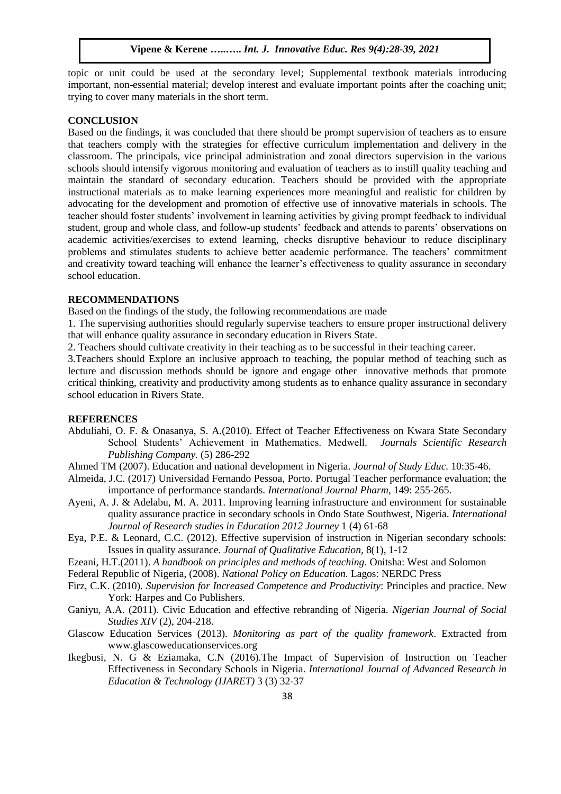topic or unit could be used at the secondary level; Supplemental textbook materials introducing important, non-essential material; develop interest and evaluate important points after the coaching unit; trying to cover many materials in the short term.

# **CONCLUSION**

Based on the findings, it was concluded that there should be prompt supervision of teachers as to ensure that teachers comply with the strategies for effective curriculum implementation and delivery in the classroom. The principals, vice principal administration and zonal directors supervision in the various schools should intensify vigorous monitoring and evaluation of teachers as to instill quality teaching and maintain the standard of secondary education. Teachers should be provided with the appropriate instructional materials as to make learning experiences more meaningful and realistic for children by advocating for the development and promotion of effective use of innovative materials in schools. The teacher should foster students' involvement in learning activities by giving prompt feedback to individual student, group and whole class, and follow-up students' feedback and attends to parents' observations on academic activities/exercises to extend learning, checks disruptive behaviour to reduce disciplinary problems and stimulates students to achieve better academic performance. The teachers' commitment and creativity toward teaching will enhance the learner's effectiveness to quality assurance in secondary school education.

#### **RECOMMENDATIONS**

Based on the findings of the study, the following recommendations are made

1. The supervising authorities should regularly supervise teachers to ensure proper instructional delivery that will enhance quality assurance in secondary education in Rivers State.

2. Teachers should cultivate creativity in their teaching as to be successful in their teaching career.

3.Teachers should Explore an inclusive approach to teaching, the popular method of teaching such as lecture and discussion methods should be ignore and engage other innovative methods that promote critical thinking, creativity and productivity among students as to enhance quality assurance in secondary school education in Rivers State.

#### **REFERENCES**

Abduliahi, O. F. & Onasanya, S. A.(2010). Effect of Teacher Effectiveness on Kwara State Secondary School Students' Achievement in Mathematics. Medwell. *Journals Scientific Research Publishing Company.* (5) 286-292

Ahmed TM (2007). Education and national development in Nigeria. *Journal of Study Educ.* 10:35-46.

- Almeida, J.C. (2017) Universidad Fernando Pessoa, Porto. Portugal Teacher performance evaluation; the importance of performance standards. *International Journal Pharm*, 149: 255-265.
- Ayeni, A. J. & Adelabu, M. A. 2011. Improving learning infrastructure and environment for sustainable quality assurance practice in secondary schools in Ondo State Southwest, Nigeria. *International Journal of Research studies in Education 2012 Journey* 1 (4) 61-68
- Eya, P.E. & Leonard, C.C. (2012). Effective supervision of instruction in Nigerian secondary schools: Issues in quality assurance*. Journal of Qualitative Education,* 8(1), 1-12
- Ezeani, H.T.(2011). *A handbook on principles and methods of teaching*. Onitsha: West and Solomon

Federal Republic of Nigeria, (2008). *National Policy on Education.* Lagos: NERDC Press

- Firz, C.K. (2010). *Supervision for Increased Competence and Productivity*: Principles and practice. New York: Harpes and Co Publishers.
- Ganiyu, A.A. (2011). Civic Education and effective rebranding of Nigeria. *Nigerian Journal of Social Studies XIV* (2), 204-218.
- Glascow Education Services (2013). *Monitoring as part of the quality framework*. Extracted from www.glascoweducationservices.org
- Ikegbusi, N. G & Eziamaka, C.N (2016).The Impact of Supervision of Instruction on Teacher Effectiveness in Secondary Schools in Nigeria. *International Journal of Advanced Research in Education & Technology (IJARET)* 3 (3) 32-37